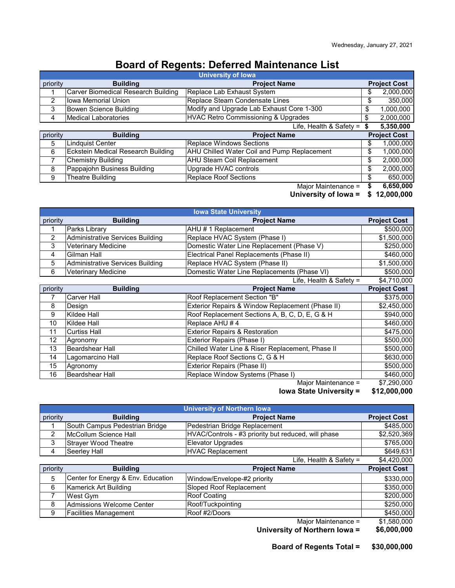## **Board of Regents: Deferred Maintenance List**

| <b>University of lowa</b> |                                     |                                                |    |                      |
|---------------------------|-------------------------------------|------------------------------------------------|----|----------------------|
| priority                  | <b>Building</b>                     | <b>Project Name</b>                            |    | <b>Project Cost</b>  |
|                           | Carver Biomedical Research Building | Replace Lab Exhaust System                     | \$ | 2,000,000            |
| $\overline{2}$            | Iowa Memorial Union                 | Replace Steam Condensate Lines                 | \$ | 350,000              |
| 3                         | <b>Bowen Science Building</b>       | Modify and Upgrade Lab Exhaust Core 1-300      | \$ | 1,000,000            |
| 4                         | <b>Medical Laboratories</b>         | <b>HVAC Retro Commissioning &amp; Upgrades</b> | \$ | 2,000,000            |
|                           |                                     | Life, Health & Safety $=$                      |    | 5,350,000            |
| priority                  | <b>Building</b>                     | <b>Project Name</b>                            |    | <b>Project Cost</b>  |
|                           |                                     |                                                |    |                      |
| 5                         | <b>Lindquist Center</b>             | <b>Replace Windows Sections</b>                | \$ | 1,000,000            |
| 6                         | Eckstein Medical Research Building  | AHU Chilled Water Coil and Pump Replacement    | \$ | 1,000,000            |
|                           | <b>Chemistry Building</b>           | <b>AHU Steam Coil Replacement</b>              | \$ | 2,000,000            |
| 8                         | Pappajohn Business Building         | Upgrade HVAC controls                          | \$ |                      |
| 9                         | Theatre Building                    | <b>Replace Roof Sections</b>                   | \$ | 2,000,000<br>650,000 |

**University of Iowa = \$ 12,000,000** 

| <b>Iowa State University</b> |                                  |                                             |                     |  |
|------------------------------|----------------------------------|---------------------------------------------|---------------------|--|
| priority                     | <b>Building</b>                  | <b>Project Name</b>                         | <b>Project Cost</b> |  |
|                              | Parks Library                    | AHU # 1 Replacement                         | \$500,000           |  |
| 2                            | Administrative Services Building | Replace HVAC System (Phase I)               | \$1,500,000         |  |
| 3                            | <b>Veterinary Medicine</b>       | Domestic Water Line Replacement (Phase V)   | \$250,000           |  |
| 4                            | Gilman Hall                      | Electrical Panel Replacements (Phase II)    | \$460,000           |  |
| 5                            | Administrative Services Building | Replace HVAC System (Phase II)              | \$1,500,000         |  |
| 6                            | Veterinary Medicine              | Domestic Water Line Replacements (Phase VI) | \$500,000           |  |
|                              |                                  |                                             | $ - -$              |  |

|          |                        | Life, Health & Safety =                          | \$4,710,000         |
|----------|------------------------|--------------------------------------------------|---------------------|
| priority | <b>Building</b>        | <b>Project Name</b>                              | <b>Project Cost</b> |
|          | <b>Carver Hall</b>     | Roof Replacement Section "B"                     | \$375,000           |
| 8        | Design                 | Exterior Repairs & Window Replacement (Phase II) | \$2,450,000         |
| 9        | Kildee Hall            | Roof Replacement Sections A, B, C, D, E, G & H   | \$940,000           |
| 10       | Kildee Hall            | Replace AHU #4                                   | \$460,000           |
| 11       | <b>Curtiss Hall</b>    | <b>Exterior Repairs &amp; Restoration</b>        | \$475,000           |
| 12       | Agronomy               | Exterior Repairs (Phase I)                       | \$500,000           |
| 13       | <b>Beardshear Hall</b> | Chilled Water Line & Riser Replacement, Phase II | \$500,000           |
| 14       | Lagomarcino Hall       | Replace Roof Sections C, G & H                   | \$630,000           |
| 15       | Agronomy               | Exterior Repairs (Phase II)                      | \$500,000           |
| 16       | Beardshear Hall        | Replace Window Systems (Phase I)                 | \$460,000           |
|          |                        | Major Maintenance =                              | \$7,290,000         |

**Iowa State University = \$12,000,000** 

| <b>University of Northern Iowa</b> |                                    |                                                     |                                                               |  |
|------------------------------------|------------------------------------|-----------------------------------------------------|---------------------------------------------------------------|--|
| priority                           | <b>Building</b>                    | <b>Project Name</b>                                 | <b>Project Cost</b>                                           |  |
|                                    | South Campus Pedestrian Bridge     | Pedestrian Bridge Replacement                       | \$485,000                                                     |  |
| 2                                  | McCollum Science Hall              | HVAC/Controls - #3 priority but reduced, will phase | \$2,520,369                                                   |  |
| 3                                  | <b>Strayer Wood Theatre</b>        | <b>Elevator Upgrades</b>                            | \$765,000                                                     |  |
| 4                                  | Seerley Hall                       | <b>HVAC Replacement</b>                             | \$649,631                                                     |  |
|                                    |                                    | Life, Health & Safety $=$                           | \$4,420,000                                                   |  |
|                                    |                                    |                                                     |                                                               |  |
| priority                           | <b>Building</b>                    | <b>Project Name</b>                                 | <b>Project Cost</b>                                           |  |
| 5                                  | Center for Energy & Env. Education | Window/Envelope-#2 priority                         |                                                               |  |
| 6                                  | Kamerick Art Building              | Sloped Roof Replacement                             |                                                               |  |
|                                    | West Gym                           | Roof Coating                                        |                                                               |  |
| 8                                  | Admissions Welcome Center          | Roof/Tuckpointing                                   |                                                               |  |
| 9                                  | <b>Facilities Management</b>       | Roof #2/Doors                                       | \$330,000<br>\$350,000<br>\$200,000<br>\$250,000<br>\$450,000 |  |

**University of Northern Iowa = \$6,000,000**